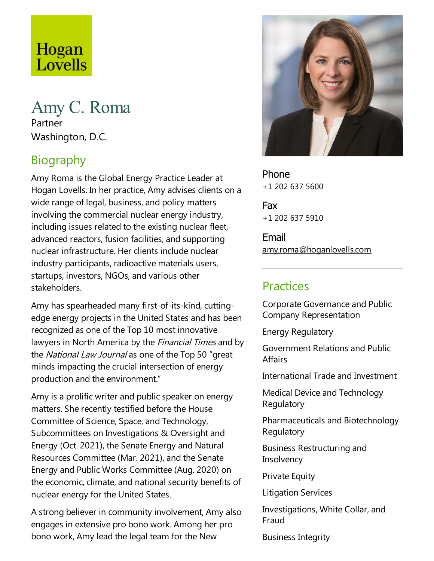# Hogan Lovells

# Amy C. Roma Partner Washington, D.C.

# Biography

Amy Roma is the Global Energy Practice Leader at Hogan Lovells. In her practice, Amy advises clients on a wide range of legal, business, and policy matters involving the commercial nuclear energy industry, including issues related to the existing nuclear fleet, advanced reactors, fusion facilities, and supporting nuclear infrastructure. Her clients include nuclear industry participants, radioactive materials users, startups, investors, NGOs, and various other stakeholders.

Amy has spearheaded many first-of-its-kind, cuttingedge energy projects in the United States and has been recognized as one of the Top 10 most innovative lawyers in North America by the *Financial Times* and by the National Law Journal as one of the Top 50 "great minds impacting the crucial intersection of energy production and the environment."

Amy is a prolific writer and public speaker on energy matters. She recently testified before the House Committee of Science, Space, and Technology, Subcommittees on Investigations & Oversight and Energy (Oct. 2021), the Senate Energy and Natural Resources Committee (Mar. 2021), and the Senate Energy and Public Works Committee(Aug. 2020) on the economic, climate, and national security benefits of nuclear energy for the United States.

A strong believer in community involvement, Amy also engages in extensive pro bono work. Among her pro bono work, Amy lead the legal team for the New



Phone +1 202 637 5600

Fax +1 202 637 5910

Email amy.roma@hoganlovells.com

#### Practices

Corporate Governance and Public Company Representation

Energy Regulatory

Government Relations and Public **Affairs** 

International Trade and Investment

Medical Device and Technology Regulatory

Pharmaceuticals and Biotechnology **Regulatory** 

Business Restructuring and **Insolvency** 

**Private Equity** 

Litigation Services

Investigations, White Collar, and Fraud

Business Integrity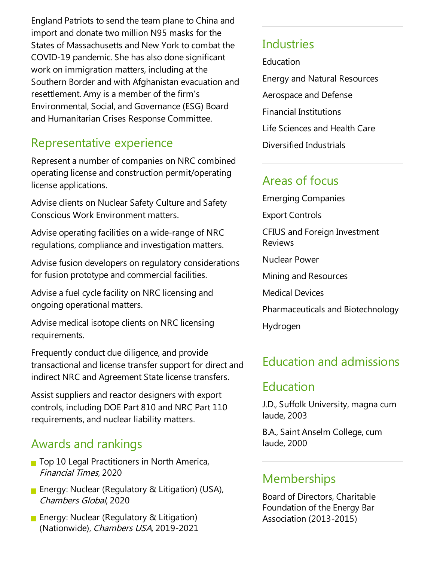England Patriots to send the team plane to China and import and donate two million N95 masks for the States of Massachusetts and New York to combat the COVID-19 pandemic. She has also done significant work on immigration matters, including at the Southern Border and with Afghanistan evacuation and resettlement. Amy is a member of the firm's Environmental, Social,and Governance(ESG) Board and Humanitarian Crises Response Committee.

## Representative experience

Represent a number of companies on NRC combined operating licenseand construction permit/operating license applications.

Advise clients on Nuclear Safety Culture and Safety Conscious Work Environment matters.

Advise operating facilities on a wide-range of NRC regulations, compliance and investigation matters.

Advise fusion developers on regulatory considerations for fusion prototype and commercial facilities.

Advise a fuel cycle facility on NRC licensing and ongoing operational matters.

Advise medical isotope clients on NRC licensing requirements.

Frequently conduct due diligence, and provide transactional and license transfer support for direct and indirect NRC and Agreement State license transfers.

Assist suppliers and reactor designers with export controls, including DOE Part 810 and NRC Part 110 requirements, and nuclear liability matters.

#### Awards and rankings

- Top 10 Legal Practitioners in North America, Financial Times, 2020
- **Energy: Nuclear (Regulatory & Litigation) (USA),** Chambers Global, 2020
- **Energy: Nuclear (Regulatory & Litigation)** (Nationwide), Chambers USA, 2019-2021

#### **Industries**

**Education** 

Energy and Natural Resources Aerospace and Defense Financial Institutions Life Sciences and Health Care Diversified Industrials

#### Areas of focus

Emerging Companies Export Controls CFIUS and Foreign Investment Reviews Nuclear Power Mining and Resources Medical Devices Pharmaceuticals and Biotechnology Hydrogen

## Education and admissions

## Education

J.D., Suffolk University, magna cum laude, 2003

B.A., Saint Anselm College, cum laude, 2000

#### **Memberships**

Board of Directors, Charitable Foundation of the Energy Bar Association (2013-2015)